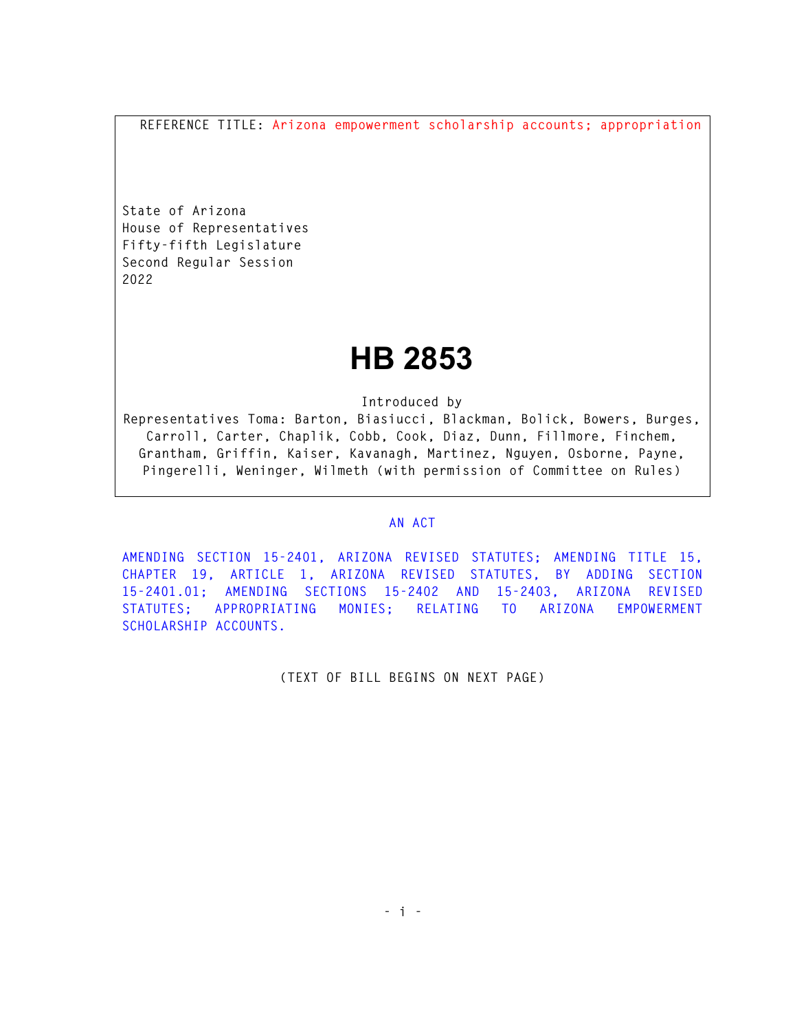**REFERENCE TITLE: Arizona empowerment scholarship accounts; appropriation** 

**State of Arizona House of Representatives Fifty-fifth Legislature Second Regular Session 2022** 

## **HB 2853**

**Introduced by** 

**Representatives Toma: Barton, Biasiucci, Blackman, Bolick, Bowers, Burges, Carroll, Carter, Chaplik, Cobb, Cook, Diaz, Dunn, Fillmore, Finchem, Grantham, Griffin, Kaiser, Kavanagh, Martinez, Nguyen, Osborne, Payne, Pingerelli, Weninger, Wilmeth (with permission of Committee on Rules)** 

## **AN ACT**

**AMENDING SECTION 15-2401, ARIZONA REVISED STATUTES; AMENDING TITLE 15, CHAPTER 19, ARTICLE 1, ARIZONA REVISED STATUTES, BY ADDING SECTION 15-2401.01; AMENDING SECTIONS 15-2402 AND 15-2403, ARIZONA REVISED STATUTES; APPROPRIATING MONIES; RELATING TO ARIZONA EMPOWERMENT SCHOLARSHIP ACCOUNTS.** 

**(TEXT OF BILL BEGINS ON NEXT PAGE)**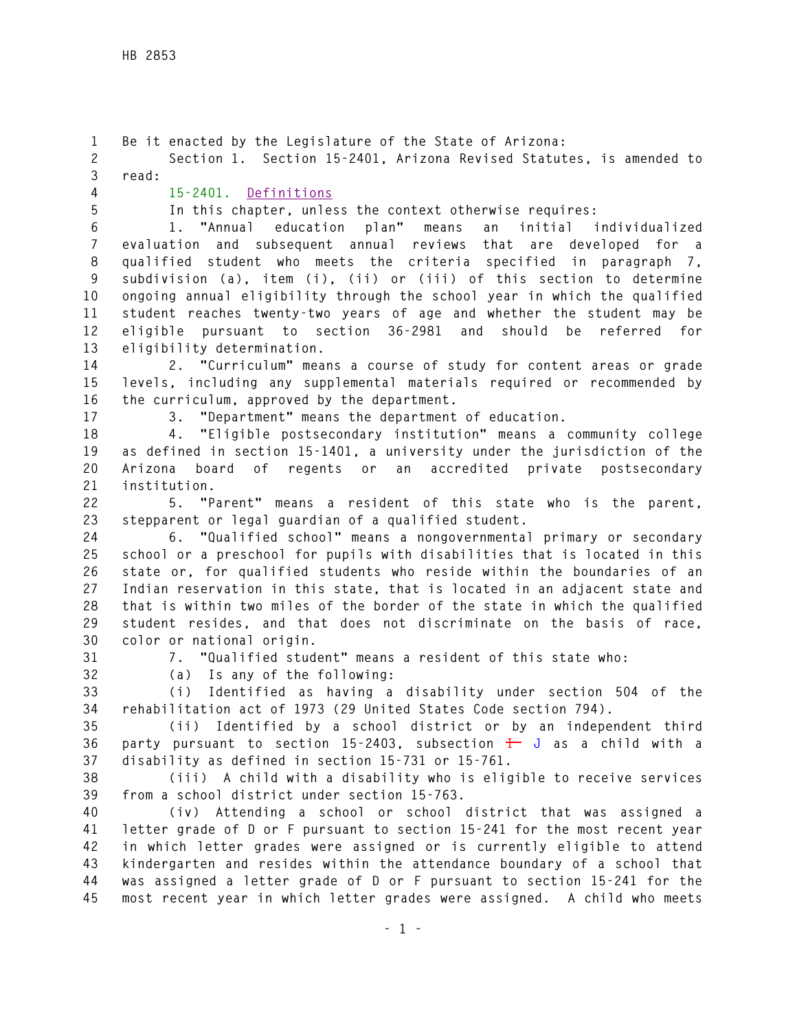**1 Be it enacted by the Legislature of the State of Arizona: 2 Section 1. Section 15-2401, Arizona Revised Statutes, is amended to 3 read: 4 15-2401. Definitions 5 In this chapter, unless the context otherwise requires: 6 1. "Annual education plan" means an initial individualized 7 evaluation and subsequent annual reviews that are developed for a 8 qualified student who meets the criteria specified in paragraph 7, 9 subdivision (a), item (i), (ii) or (iii) of this section to determine 10 ongoing annual eligibility through the school year in which the qualified 11 student reaches twenty-two years of age and whether the student may be 12 eligible pursuant to section 36-2981 and should be referred for 13 eligibility determination. 14 2. "Curriculum" means a course of study for content areas or grade 15 levels, including any supplemental materials required or recommended by 16 the curriculum, approved by the department. 17 3. "Department" means the department of education. 18 4. "Eligible postsecondary institution" means a community college 19 as defined in section 15-1401, a university under the jurisdiction of the 20 Arizona board of regents or an accredited private postsecondary 21 institution. 22 5. "Parent" means a resident of this state who is the parent, 23 stepparent or legal guardian of a qualified student. 24 6. "Qualified school" means a nongovernmental primary or secondary 25 school or a preschool for pupils with disabilities that is located in this 26 state or, for qualified students who reside within the boundaries of an 27 Indian reservation in this state, that is located in an adjacent state and 28 that is within two miles of the border of the state in which the qualified 29 student resides, and that does not discriminate on the basis of race, 30 color or national origin. 31 7. "Qualified student" means a resident of this state who: 32 (a) Is any of the following: 33 (i) Identified as having a disability under section 504 of the 34 rehabilitation act of 1973 (29 United States Code section 794). 35 (ii) Identified by a school district or by an independent third 36 party pursuant to section 15-2403, subsection I J as a child with a 37 disability as defined in section 15-731 or 15-761. 38 (iii) A child with a disability who is eligible to receive services 39 from a school district under section 15-763. 40 (iv) Attending a school or school district that was assigned a 41 letter grade of D or F pursuant to section 15-241 for the most recent year 42 in which letter grades were assigned or is currently eligible to attend 43 kindergarten and resides within the attendance boundary of a school that 44 was assigned a letter grade of D or F pursuant to section 15-241 for the 45 most recent year in which letter grades were assigned. A child who meets**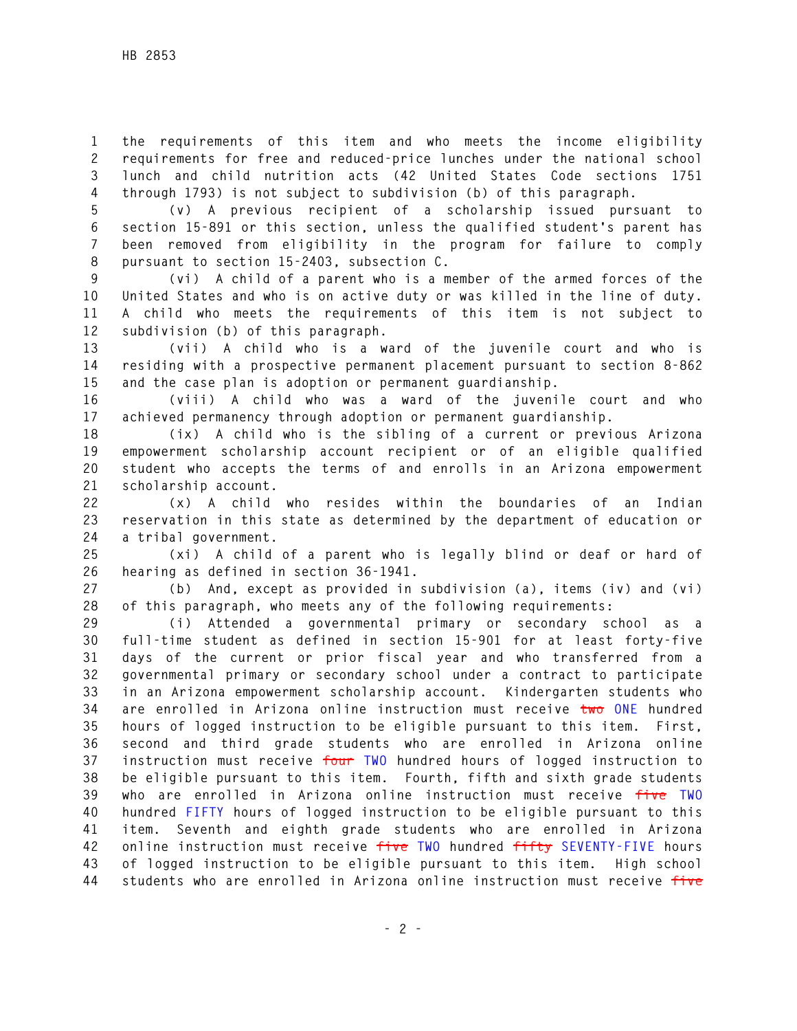**1 the requirements of this item and who meets the income eligibility 2 requirements for free and reduced-price lunches under the national school 3 lunch and child nutrition acts (42 United States Code sections 1751 4 through 1793) is not subject to subdivision (b) of this paragraph.** 

**5 (v) A previous recipient of a scholarship issued pursuant to 6 section 15-891 or this section, unless the qualified student's parent has 7 been removed from eligibility in the program for failure to comply 8 pursuant to section 15-2403, subsection C.** 

**9 (vi) A child of a parent who is a member of the armed forces of the 10 United States and who is on active duty or was killed in the line of duty. 11 A child who meets the requirements of this item is not subject to 12 subdivision (b) of this paragraph.** 

**13 (vii) A child who is a ward of the juvenile court and who is 14 residing with a prospective permanent placement pursuant to section 8-862 15 and the case plan is adoption or permanent guardianship.** 

**16 (viii) A child who was a ward of the juvenile court and who 17 achieved permanency through adoption or permanent guardianship.** 

**18 (ix) A child who is the sibling of a current or previous Arizona 19 empowerment scholarship account recipient or of an eligible qualified 20 student who accepts the terms of and enrolls in an Arizona empowerment 21 scholarship account.** 

**22 (x) A child who resides within the boundaries of an Indian 23 reservation in this state as determined by the department of education or 24 a tribal government.** 

**25 (xi) A child of a parent who is legally blind or deaf or hard of 26 hearing as defined in section 36-1941.** 

**27 (b) And, except as provided in subdivision (a), items (iv) and (vi) 28 of this paragraph, who meets any of the following requirements:** 

**29 (i) Attended a governmental primary or secondary school as a 30 full-time student as defined in section 15-901 for at least forty-five 31 days of the current or prior fiscal year and who transferred from a 32 governmental primary or secondary school under a contract to participate 33 in an Arizona empowerment scholarship account. Kindergarten students who 34 are enrolled in Arizona online instruction must receive two ONE hundred 35 hours of logged instruction to be eligible pursuant to this item. First, 36 second and third grade students who are enrolled in Arizona online 37 instruction must receive four TWO hundred hours of logged instruction to 38 be eligible pursuant to this item. Fourth, fifth and sixth grade students 39 who are enrolled in Arizona online instruction must receive five TWO 40 hundred FIFTY hours of logged instruction to be eligible pursuant to this 41 item. Seventh and eighth grade students who are enrolled in Arizona 42 online instruction must receive five TWO hundred fifty SEVENTY-FIVE hours 43 of logged instruction to be eligible pursuant to this item. High school 44 students who are enrolled in Arizona online instruction must receive five**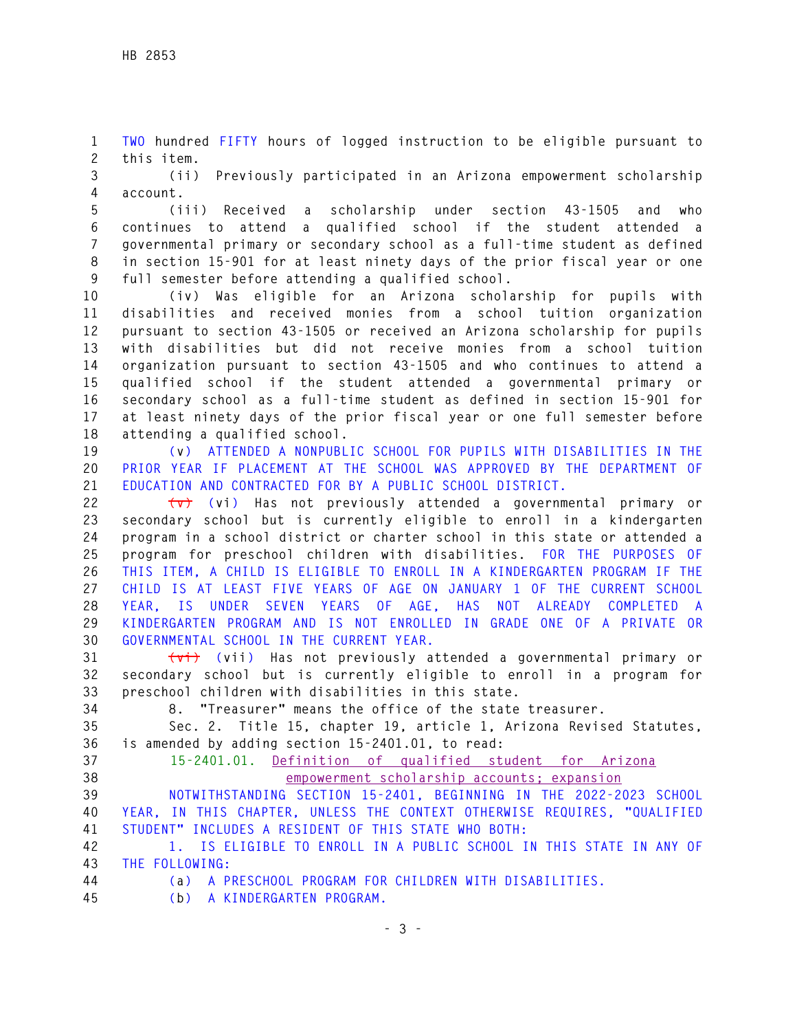**1 TWO hundred FIFTY hours of logged instruction to be eligible pursuant to 2 this item.** 

**3 (ii) Previously participated in an Arizona empowerment scholarship 4 account.** 

**5 (iii) Received a scholarship under section 43-1505 and who 6 continues to attend a qualified school if the student attended a 7 governmental primary or secondary school as a full-time student as defined 8 in section 15-901 for at least ninety days of the prior fiscal year or one 9 full semester before attending a qualified school.** 

**10 (iv) Was eligible for an Arizona scholarship for pupils with 11 disabilities and received monies from a school tuition organization 12 pursuant to section 43-1505 or received an Arizona scholarship for pupils 13 with disabilities but did not receive monies from a school tuition 14 organization pursuant to section 43-1505 and who continues to attend a 15 qualified school if the student attended a governmental primary or 16 secondary school as a full-time student as defined in section 15-901 for 17 at least ninety days of the prior fiscal year or one full semester before 18 attending a qualified school.** 

**19 (v) ATTENDED A NONPUBLIC SCHOOL FOR PUPILS WITH DISABILITIES IN THE 20 PRIOR YEAR IF PLACEMENT AT THE SCHOOL WAS APPROVED BY THE DEPARTMENT OF 21 EDUCATION AND CONTRACTED FOR BY A PUBLIC SCHOOL DISTRICT.** 

**22 (v) (vi) Has not previously attended a governmental primary or 23 secondary school but is currently eligible to enroll in a kindergarten 24 program in a school district or charter school in this state or attended a 25 program for preschool children with disabilities. FOR THE PURPOSES OF 26 THIS ITEM, A CHILD IS ELIGIBLE TO ENROLL IN A KINDERGARTEN PROGRAM IF THE 27 CHILD IS AT LEAST FIVE YEARS OF AGE ON JANUARY 1 OF THE CURRENT SCHOOL 28 YEAR, IS UNDER SEVEN YEARS OF AGE, HAS NOT ALREADY COMPLETED A 29 KINDERGARTEN PROGRAM AND IS NOT ENROLLED IN GRADE ONE OF A PRIVATE OR 30 GOVERNMENTAL SCHOOL IN THE CURRENT YEAR.** 

**31 (vi) (vii) Has not previously attended a governmental primary or 32 secondary school but is currently eligible to enroll in a program for 33 preschool children with disabilities in this state.** 

**34 8. "Treasurer" means the office of the state treasurer.** 

**35 Sec. 2. Title 15, chapter 19, article 1, Arizona Revised Statutes, 36 is amended by adding section 15-2401.01, to read:** 

**37 15-2401.01. Definition of qualified student for Arizona 38 empowerment scholarship accounts; expansion** 

**39 NOTWITHSTANDING SECTION 15-2401, BEGINNING IN THE 2022-2023 SCHOOL 40 YEAR, IN THIS CHAPTER, UNLESS THE CONTEXT OTHERWISE REQUIRES, "QUALIFIED 41 STUDENT" INCLUDES A RESIDENT OF THIS STATE WHO BOTH:** 

**42 1. IS ELIGIBLE TO ENROLL IN A PUBLIC SCHOOL IN THIS STATE IN ANY OF 43 THE FOLLOWING:** 

**44 (a) A PRESCHOOL PROGRAM FOR CHILDREN WITH DISABILITIES.** 

**45 (b) A KINDERGARTEN PROGRAM.**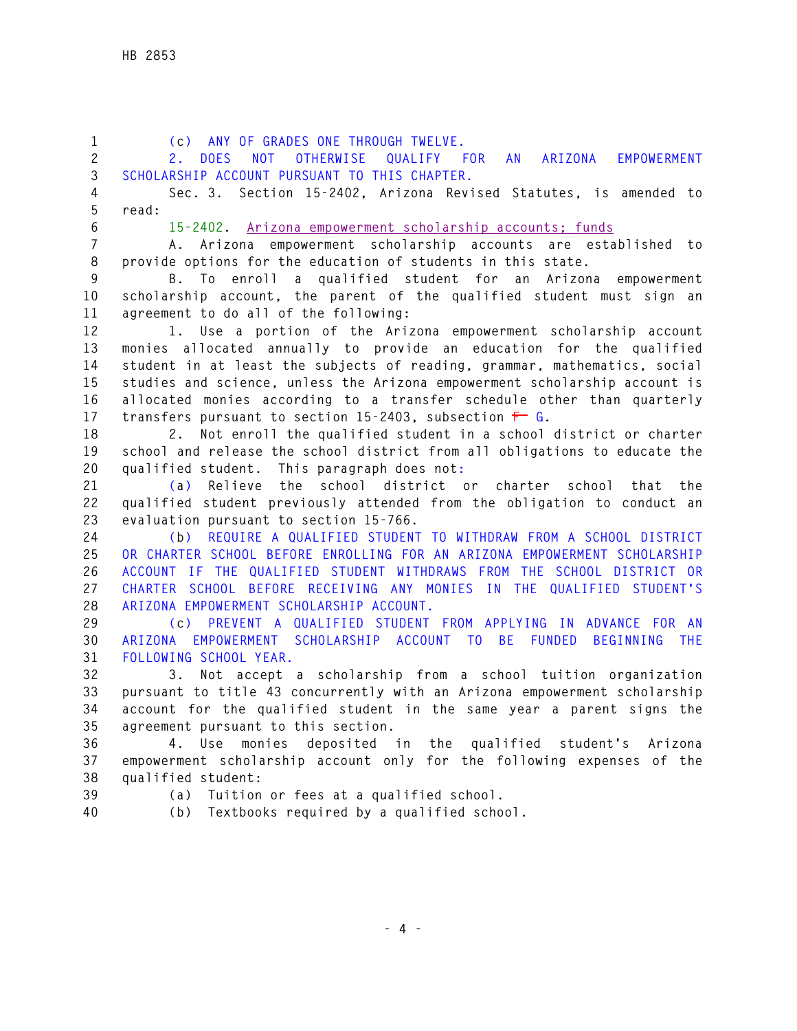**1 (c) ANY OF GRADES ONE THROUGH TWELVE. 2 2. DOES NOT OTHERWISE QUALIFY FOR AN ARIZONA EMPOWERMENT 3 SCHOLARSHIP ACCOUNT PURSUANT TO THIS CHAPTER. 4 Sec. 3. Section 15-2402, Arizona Revised Statutes, is amended to 5 read: 6 15-2402. Arizona empowerment scholarship accounts; funds 7 A. Arizona empowerment scholarship accounts are established to 8 provide options for the education of students in this state. 9 B. To enroll a qualified student for an Arizona empowerment 10 scholarship account, the parent of the qualified student must sign an 11 agreement to do all of the following: 12 1. Use a portion of the Arizona empowerment scholarship account 13 monies allocated annually to provide an education for the qualified 14 student in at least the subjects of reading, grammar, mathematics, social 15 studies and science, unless the Arizona empowerment scholarship account is 16 allocated monies according to a transfer schedule other than quarterly 17 transfers pursuant to section 15-2403, subsection F G. 18 2. Not enroll the qualified student in a school district or charter 19 school and release the school district from all obligations to educate the 20 qualified student. This paragraph does not: 21 (a) Relieve the school district or charter school that the 22 qualified student previously attended from the obligation to conduct an 23 evaluation pursuant to section 15-766. 24 (b) REQUIRE A QUALIFIED STUDENT TO WITHDRAW FROM A SCHOOL DISTRICT 25 OR CHARTER SCHOOL BEFORE ENROLLING FOR AN ARIZONA EMPOWERMENT SCHOLARSHIP 26 ACCOUNT IF THE QUALIFIED STUDENT WITHDRAWS FROM THE SCHOOL DISTRICT OR 27 CHARTER SCHOOL BEFORE RECEIVING ANY MONIES IN THE QUALIFIED STUDENT'S 28 ARIZONA EMPOWERMENT SCHOLARSHIP ACCOUNT. 29 (c) PREVENT A QUALIFIED STUDENT FROM APPLYING IN ADVANCE FOR AN 30 ARIZONA EMPOWERMENT SCHOLARSHIP ACCOUNT TO BE FUNDED BEGINNING THE 31 FOLLOWING SCHOOL YEAR. 32 3. Not accept a scholarship from a school tuition organization 33 pursuant to title 43 concurrently with an Arizona empowerment scholarship 34 account for the qualified student in the same year a parent signs the 35 agreement pursuant to this section. 36 4. Use monies deposited in the qualified student's Arizona 37 empowerment scholarship account only for the following expenses of the 38 qualified student: 39 (a) Tuition or fees at a qualified school. 40 (b) Textbooks required by a qualified school.**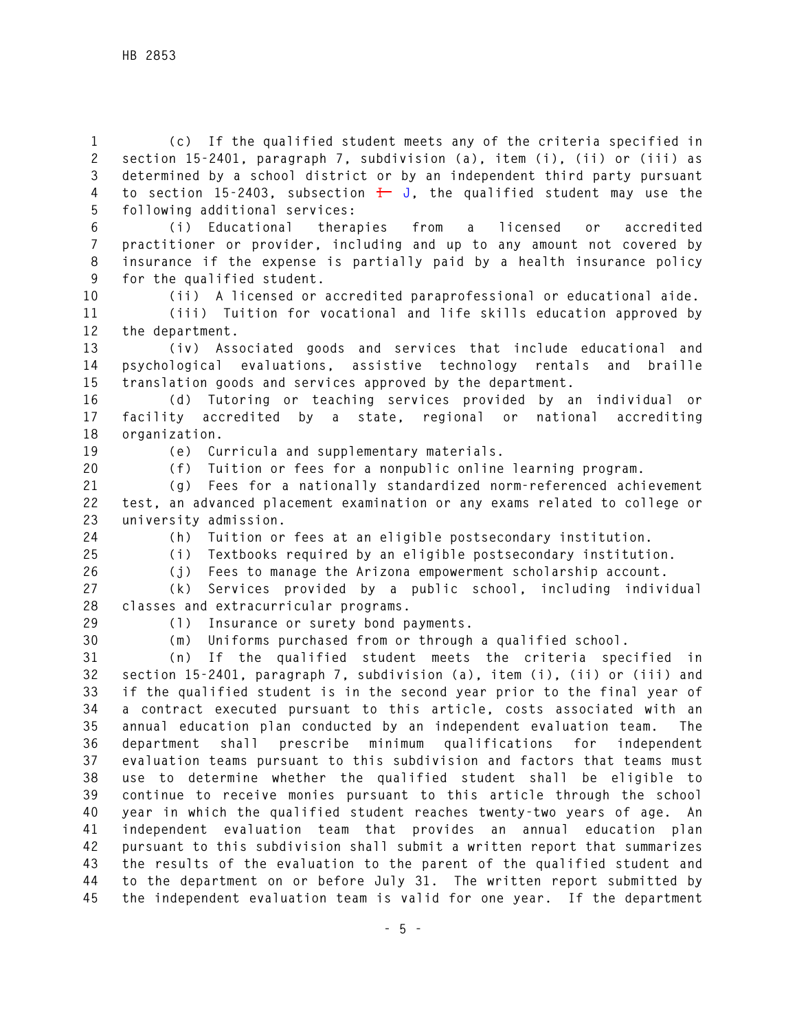**1 (c) If the qualified student meets any of the criteria specified in 2 section 15-2401, paragraph 7, subdivision (a), item (i), (ii) or (iii) as 3 determined by a school district or by an independent third party pursuant**  4 to section 15-2403, subsection  $\frac{1}{k}$  J, the qualified student may use the **5 following additional services:** 

**6 (i) Educational therapies from a licensed or accredited 7 practitioner or provider, including and up to any amount not covered by 8 insurance if the expense is partially paid by a health insurance policy 9 for the qualified student.** 

**10 (ii) A licensed or accredited paraprofessional or educational aide.** 

**11 (iii) Tuition for vocational and life skills education approved by 12 the department.** 

**13 (iv) Associated goods and services that include educational and 14 psychological evaluations, assistive technology rentals and braille 15 translation goods and services approved by the department.** 

**16 (d) Tutoring or teaching services provided by an individual or 17 facility accredited by a state, regional or national accrediting 18 organization.** 

**19 (e) Curricula and supplementary materials.** 

**20 (f) Tuition or fees for a nonpublic online learning program.** 

**21 (g) Fees for a nationally standardized norm-referenced achievement 22 test, an advanced placement examination or any exams related to college or 23 university admission.** 

**24 (h) Tuition or fees at an eligible postsecondary institution.** 

**25 (i) Textbooks required by an eligible postsecondary institution. 26 (j) Fees to manage the Arizona empowerment scholarship account.** 

**27 (k) Services provided by a public school, including individual 28 classes and extracurricular programs.** 

**29 (l) Insurance or surety bond payments.** 

**30 (m) Uniforms purchased from or through a qualified school.** 

**31 (n) If the qualified student meets the criteria specified in 32 section 15-2401, paragraph 7, subdivision (a), item (i), (ii) or (iii) and 33 if the qualified student is in the second year prior to the final year of 34 a contract executed pursuant to this article, costs associated with an 35 annual education plan conducted by an independent evaluation team. The 36 department shall prescribe minimum qualifications for independent 37 evaluation teams pursuant to this subdivision and factors that teams must 38 use to determine whether the qualified student shall be eligible to 39 continue to receive monies pursuant to this article through the school 40 year in which the qualified student reaches twenty-two years of age. An 41 independent evaluation team that provides an annual education plan 42 pursuant to this subdivision shall submit a written report that summarizes 43 the results of the evaluation to the parent of the qualified student and 44 to the department on or before July 31. The written report submitted by 45 the independent evaluation team is valid for one year. If the department**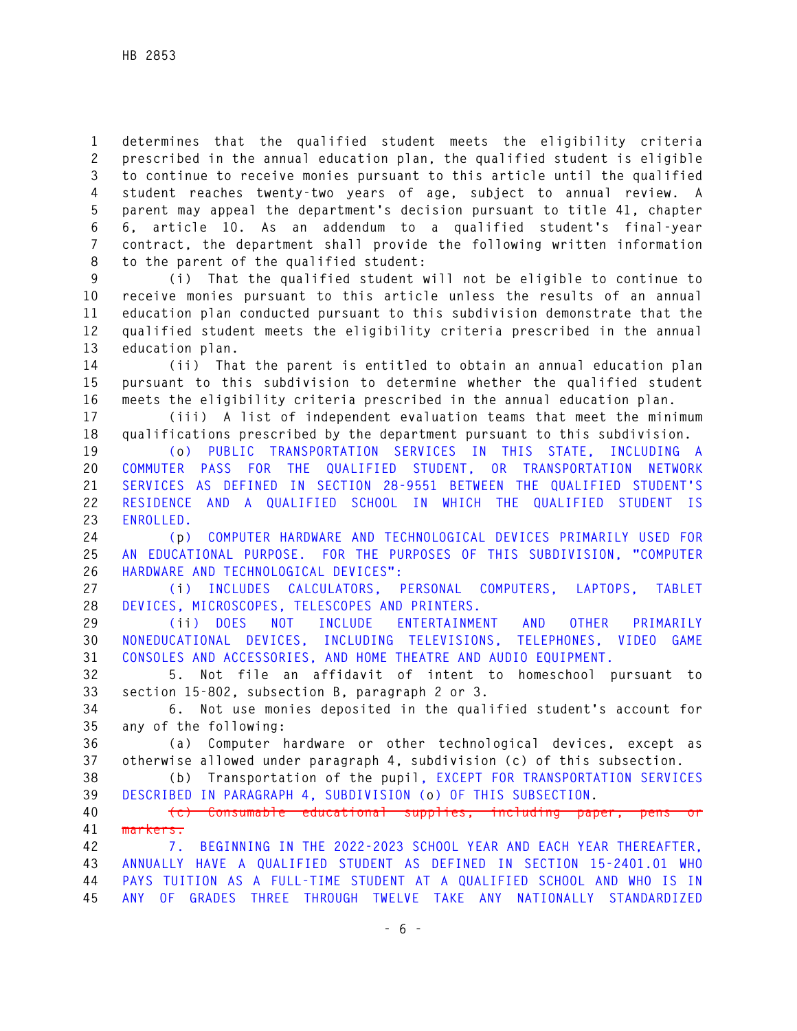**1 determines that the qualified student meets the eligibility criteria 2 prescribed in the annual education plan, the qualified student is eligible 3 to continue to receive monies pursuant to this article until the qualified 4 student reaches twenty-two years of age, subject to annual review. A 5 parent may appeal the department's decision pursuant to title 41, chapter 6 6, article 10. As an addendum to a qualified student's final-year 7 contract, the department shall provide the following written information 8 to the parent of the qualified student:** 

**9 (i) That the qualified student will not be eligible to continue to 10 receive monies pursuant to this article unless the results of an annual 11 education plan conducted pursuant to this subdivision demonstrate that the 12 qualified student meets the eligibility criteria prescribed in the annual 13 education plan.** 

**14 (ii) That the parent is entitled to obtain an annual education plan 15 pursuant to this subdivision to determine whether the qualified student 16 meets the eligibility criteria prescribed in the annual education plan.** 

**17 (iii) A list of independent evaluation teams that meet the minimum 18 qualifications prescribed by the department pursuant to this subdivision.** 

**19 (o) PUBLIC TRANSPORTATION SERVICES IN THIS STATE, INCLUDING A 20 COMMUTER PASS FOR THE QUALIFIED STUDENT, OR TRANSPORTATION NETWORK 21 SERVICES AS DEFINED IN SECTION 28-9551 BETWEEN THE QUALIFIED STUDENT'S 22 RESIDENCE AND A QUALIFIED SCHOOL IN WHICH THE QUALIFIED STUDENT IS 23 ENROLLED.** 

**24 (p) COMPUTER HARDWARE AND TECHNOLOGICAL DEVICES PRIMARILY USED FOR 25 AN EDUCATIONAL PURPOSE. FOR THE PURPOSES OF THIS SUBDIVISION, "COMPUTER 26 HARDWARE AND TECHNOLOGICAL DEVICES":** 

**27 (i) INCLUDES CALCULATORS, PERSONAL COMPUTERS, LAPTOPS, TABLET 28 DEVICES, MICROSCOPES, TELESCOPES AND PRINTERS.** 

**29 (ii) DOES NOT INCLUDE ENTERTAINMENT AND OTHER PRIMARILY 30 NONEDUCATIONAL DEVICES, INCLUDING TELEVISIONS, TELEPHONES, VIDEO GAME 31 CONSOLES AND ACCESSORIES, AND HOME THEATRE AND AUDIO EQUIPMENT.** 

**32 5. Not file an affidavit of intent to homeschool pursuant to 33 section 15-802, subsection B, paragraph 2 or 3.** 

**34 6. Not use monies deposited in the qualified student's account for 35 any of the following:** 

**36 (a) Computer hardware or other technological devices, except as 37 otherwise allowed under paragraph 4, subdivision (c) of this subsection.** 

**38 (b) Transportation of the pupil, EXCEPT FOR TRANSPORTATION SERVICES 39 DESCRIBED IN PARAGRAPH 4, SUBDIVISION (o) OF THIS SUBSECTION.** 

**40 (c) Consumable educational supplies, including paper, pens or 41 markers.** 

**42 7. BEGINNING IN THE 2022-2023 SCHOOL YEAR AND EACH YEAR THEREAFTER, 43 ANNUALLY HAVE A QUALIFIED STUDENT AS DEFINED IN SECTION 15-2401.01 WHO 44 PAYS TUITION AS A FULL-TIME STUDENT AT A QUALIFIED SCHOOL AND WHO IS IN 45 ANY OF GRADES THREE THROUGH TWELVE TAKE ANY NATIONALLY STANDARDIZED**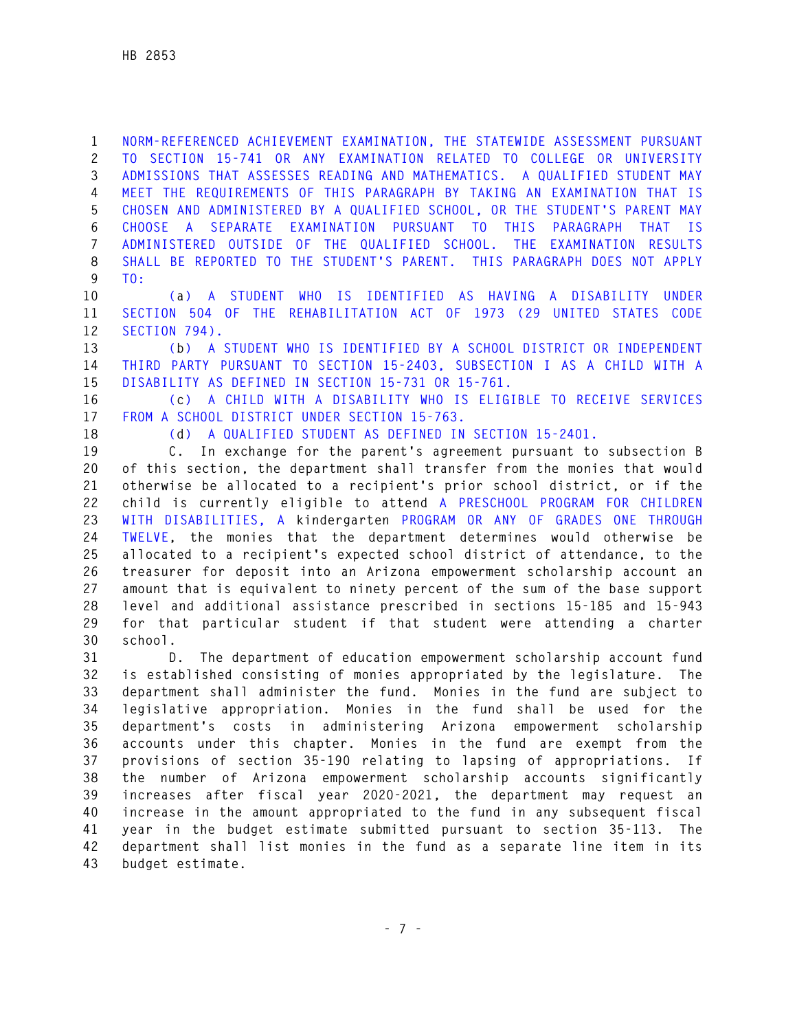**1 NORM-REFERENCED ACHIEVEMENT EXAMINATION, THE STATEWIDE ASSESSMENT PURSUANT 2 TO SECTION 15-741 OR ANY EXAMINATION RELATED TO COLLEGE OR UNIVERSITY 3 ADMISSIONS THAT ASSESSES READING AND MATHEMATICS. A QUALIFIED STUDENT MAY 4 MEET THE REQUIREMENTS OF THIS PARAGRAPH BY TAKING AN EXAMINATION THAT IS 5 CHOSEN AND ADMINISTERED BY A QUALIFIED SCHOOL, OR THE STUDENT'S PARENT MAY 6 CHOOSE A SEPARATE EXAMINATION PURSUANT TO THIS PARAGRAPH THAT IS 7 ADMINISTERED OUTSIDE OF THE QUALIFIED SCHOOL. THE EXAMINATION RESULTS 8 SHALL BE REPORTED TO THE STUDENT'S PARENT. THIS PARAGRAPH DOES NOT APPLY 9 TO:** 

**10 (a) A STUDENT WHO IS IDENTIFIED AS HAVING A DISABILITY UNDER 11 SECTION 504 OF THE REHABILITATION ACT OF 1973 (29 UNITED STATES CODE 12 SECTION 794).** 

**13 (b) A STUDENT WHO IS IDENTIFIED BY A SCHOOL DISTRICT OR INDEPENDENT 14 THIRD PARTY PURSUANT TO SECTION 15-2403, SUBSECTION I AS A CHILD WITH A 15 DISABILITY AS DEFINED IN SECTION 15-731 OR 15-761.** 

**16 (c) A CHILD WITH A DISABILITY WHO IS ELIGIBLE TO RECEIVE SERVICES 17 FROM A SCHOOL DISTRICT UNDER SECTION 15-763.** 

**18 (d) A QUALIFIED STUDENT AS DEFINED IN SECTION 15-2401.** 

**19 C. In exchange for the parent's agreement pursuant to subsection B 20 of this section, the department shall transfer from the monies that would 21 otherwise be allocated to a recipient's prior school district, or if the 22 child is currently eligible to attend A PRESCHOOL PROGRAM FOR CHILDREN 23 WITH DISABILITIES, A kindergarten PROGRAM OR ANY OF GRADES ONE THROUGH 24 TWELVE, the monies that the department determines would otherwise be 25 allocated to a recipient's expected school district of attendance, to the 26 treasurer for deposit into an Arizona empowerment scholarship account an 27 amount that is equivalent to ninety percent of the sum of the base support 28 level and additional assistance prescribed in sections 15-185 and 15-943 29 for that particular student if that student were attending a charter 30 school.** 

**31 D. The department of education empowerment scholarship account fund 32 is established consisting of monies appropriated by the legislature. The 33 department shall administer the fund. Monies in the fund are subject to 34 legislative appropriation. Monies in the fund shall be used for the 35 department's costs in administering Arizona empowerment scholarship 36 accounts under this chapter. Monies in the fund are exempt from the 37 provisions of section 35-190 relating to lapsing of appropriations. If 38 the number of Arizona empowerment scholarship accounts significantly 39 increases after fiscal year 2020-2021, the department may request an 40 increase in the amount appropriated to the fund in any subsequent fiscal 41 year in the budget estimate submitted pursuant to section 35-113. The 42 department shall list monies in the fund as a separate line item in its 43 budget estimate.**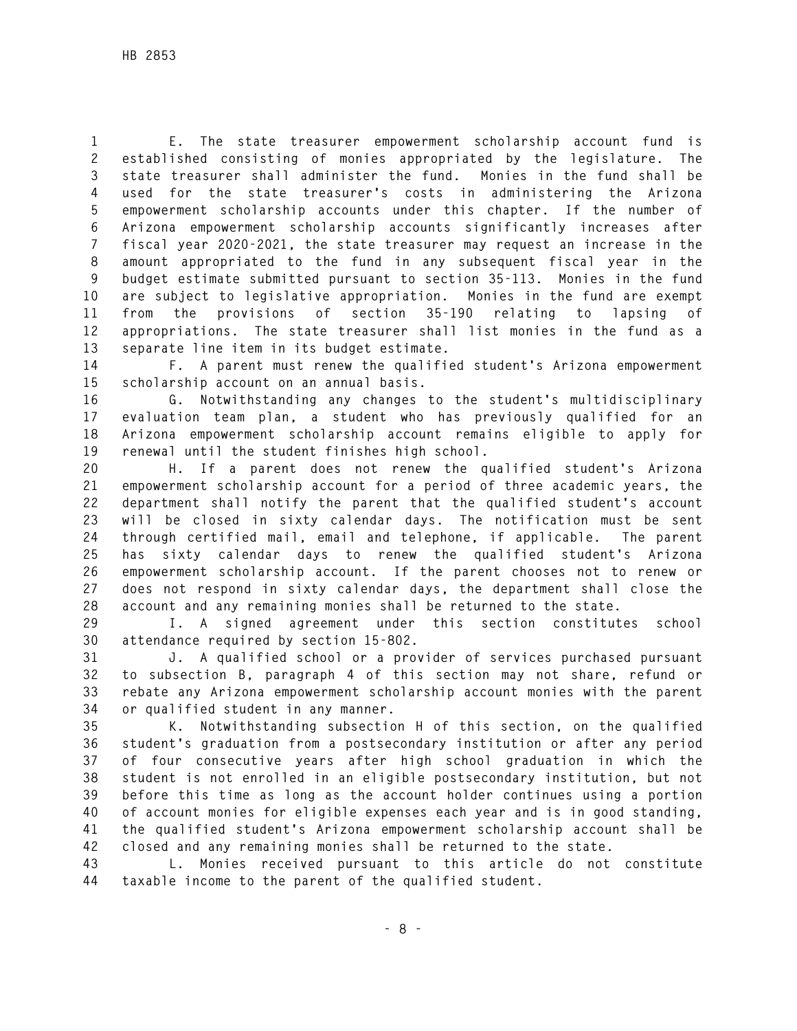**1 E. The state treasurer empowerment scholarship account fund is 2 established consisting of monies appropriated by the legislature. The 3 state treasurer shall administer the fund. Monies in the fund shall be 4 used for the state treasurer's costs in administering the Arizona 5 empowerment scholarship accounts under this chapter. If the number of 6 Arizona empowerment scholarship accounts significantly increases after 7 fiscal year 2020-2021, the state treasurer may request an increase in the 8 amount appropriated to the fund in any subsequent fiscal year in the 9 budget estimate submitted pursuant to section 35-113. Monies in the fund 10 are subject to legislative appropriation. Monies in the fund are exempt 11 from the provisions of section 35-190 relating to lapsing of 12 appropriations. The state treasurer shall list monies in the fund as a 13 separate line item in its budget estimate.** 

**14 F. A parent must renew the qualified student's Arizona empowerment 15 scholarship account on an annual basis.** 

**16 G. Notwithstanding any changes to the student's multidisciplinary 17 evaluation team plan, a student who has previously qualified for an 18 Arizona empowerment scholarship account remains eligible to apply for 19 renewal until the student finishes high school.** 

**20 H. If a parent does not renew the qualified student's Arizona 21 empowerment scholarship account for a period of three academic years, the 22 department shall notify the parent that the qualified student's account 23 will be closed in sixty calendar days. The notification must be sent 24 through certified mail, email and telephone, if applicable. The parent 25 has sixty calendar days to renew the qualified student's Arizona 26 empowerment scholarship account. If the parent chooses not to renew or 27 does not respond in sixty calendar days, the department shall close the 28 account and any remaining monies shall be returned to the state.** 

**29 I. A signed agreement under this section constitutes school 30 attendance required by section 15-802.** 

**31 J. A qualified school or a provider of services purchased pursuant 32 to subsection B, paragraph 4 of this section may not share, refund or 33 rebate any Arizona empowerment scholarship account monies with the parent 34 or qualified student in any manner.** 

**35 K. Notwithstanding subsection H of this section, on the qualified 36 student's graduation from a postsecondary institution or after any period 37 of four consecutive years after high school graduation in which the 38 student is not enrolled in an eligible postsecondary institution, but not 39 before this time as long as the account holder continues using a portion 40 of account monies for eligible expenses each year and is in good standing, 41 the qualified student's Arizona empowerment scholarship account shall be 42 closed and any remaining monies shall be returned to the state.** 

**43 L. Monies received pursuant to this article do not constitute 44 taxable income to the parent of the qualified student.**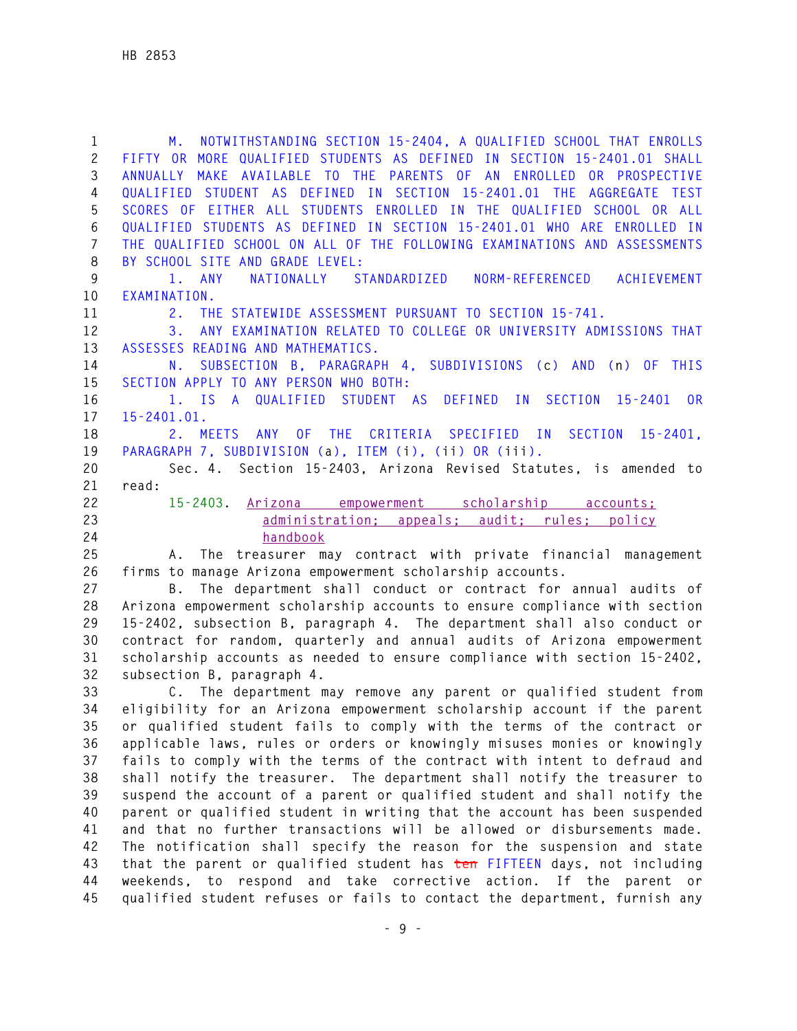**1 M. NOTWITHSTANDING SECTION 15-2404, A QUALIFIED SCHOOL THAT ENROLLS 2 FIFTY OR MORE QUALIFIED STUDENTS AS DEFINED IN SECTION 15-2401.01 SHALL 3 ANNUALLY MAKE AVAILABLE TO THE PARENTS OF AN ENROLLED OR PROSPECTIVE 4 QUALIFIED STUDENT AS DEFINED IN SECTION 15-2401.01 THE AGGREGATE TEST 5 SCORES OF EITHER ALL STUDENTS ENROLLED IN THE QUALIFIED SCHOOL OR ALL 6 QUALIFIED STUDENTS AS DEFINED IN SECTION 15-2401.01 WHO ARE ENROLLED IN 7 THE QUALIFIED SCHOOL ON ALL OF THE FOLLOWING EXAMINATIONS AND ASSESSMENTS 8 BY SCHOOL SITE AND GRADE LEVEL: 9 1. ANY NATIONALLY STANDARDIZED NORM-REFERENCED ACHIEVEMENT 10 EXAMINATION. 11 2. THE STATEWIDE ASSESSMENT PURSUANT TO SECTION 15-741. 12 3. ANY EXAMINATION RELATED TO COLLEGE OR UNIVERSITY ADMISSIONS THAT 13 ASSESSES READING AND MATHEMATICS. 14 N. SUBSECTION B, PARAGRAPH 4, SUBDIVISIONS (c) AND (n) OF THIS 15 SECTION APPLY TO ANY PERSON WHO BOTH: 16 1. IS A QUALIFIED STUDENT AS DEFINED IN SECTION 15-2401 OR 17 15-2401.01. 18 2. MEETS ANY OF THE CRITERIA SPECIFIED IN SECTION 15-2401, 19 PARAGRAPH 7, SUBDIVISION (a), ITEM (i), (ii) OR (iii). 20 Sec. 4. Section 15-2403, Arizona Revised Statutes, is amended to 21 read: 22 15-2403. Arizona empowerment scholarship accounts; 23 administration; appeals; audit; rules; policy 24 handbook 25 A. The treasurer may contract with private financial management 26 firms to manage Arizona empowerment scholarship accounts. 27 B. The department shall conduct or contract for annual audits of 28 Arizona empowerment scholarship accounts to ensure compliance with section 29 15-2402, subsection B, paragraph 4. The department shall also conduct or** 

**30 contract for random, quarterly and annual audits of Arizona empowerment 31 scholarship accounts as needed to ensure compliance with section 15-2402, 32 subsection B, paragraph 4.** 

**33 C. The department may remove any parent or qualified student from 34 eligibility for an Arizona empowerment scholarship account if the parent 35 or qualified student fails to comply with the terms of the contract or 36 applicable laws, rules or orders or knowingly misuses monies or knowingly 37 fails to comply with the terms of the contract with intent to defraud and 38 shall notify the treasurer. The department shall notify the treasurer to 39 suspend the account of a parent or qualified student and shall notify the 40 parent or qualified student in writing that the account has been suspended 41 and that no further transactions will be allowed or disbursements made. 42 The notification shall specify the reason for the suspension and state 43 that the parent or qualified student has ten FIFTEEN days, not including 44 weekends, to respond and take corrective action. If the parent or 45 qualified student refuses or fails to contact the department, furnish any**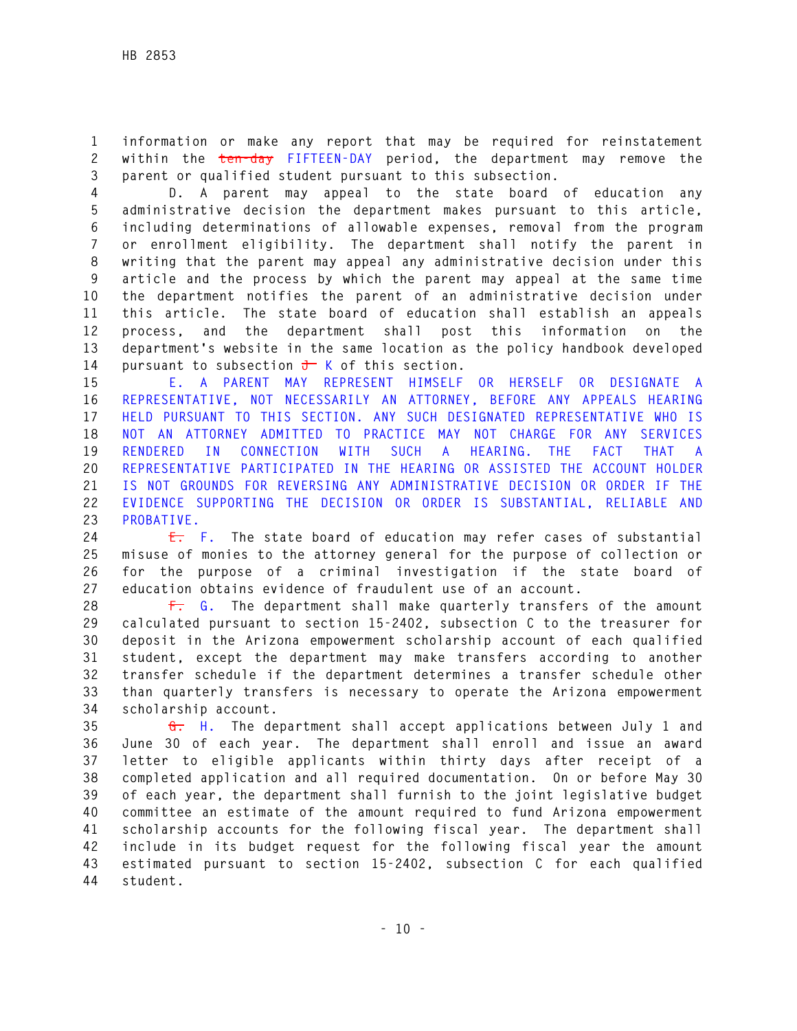**1 information or make any report that may be required for reinstatement 2 within the ten-day FIFTEEN-DAY period, the department may remove the 3 parent or qualified student pursuant to this subsection.** 

**4 D. A parent may appeal to the state board of education any 5 administrative decision the department makes pursuant to this article, 6 including determinations of allowable expenses, removal from the program 7 or enrollment eligibility. The department shall notify the parent in 8 writing that the parent may appeal any administrative decision under this 9 article and the process by which the parent may appeal at the same time 10 the department notifies the parent of an administrative decision under 11 this article. The state board of education shall establish an appeals 12 process, and the department shall post this information on the 13 department's website in the same location as the policy handbook developed**  14 pursuant to subsection  $\frac{1}{\sqrt{1-\lambda}}$  K of this section.

**15 E. A PARENT MAY REPRESENT HIMSELF OR HERSELF OR DESIGNATE A 16 REPRESENTATIVE, NOT NECESSARILY AN ATTORNEY, BEFORE ANY APPEALS HEARING 17 HELD PURSUANT TO THIS SECTION. ANY SUCH DESIGNATED REPRESENTATIVE WHO IS 18 NOT AN ATTORNEY ADMITTED TO PRACTICE MAY NOT CHARGE FOR ANY SERVICES 19 RENDERED IN CONNECTION WITH SUCH A HEARING. THE FACT THAT A 20 REPRESENTATIVE PARTICIPATED IN THE HEARING OR ASSISTED THE ACCOUNT HOLDER 21 IS NOT GROUNDS FOR REVERSING ANY ADMINISTRATIVE DECISION OR ORDER IF THE 22 EVIDENCE SUPPORTING THE DECISION OR ORDER IS SUBSTANTIAL, RELIABLE AND 23 PROBATIVE.** 

**24 E. F. The state board of education may refer cases of substantial 25 misuse of monies to the attorney general for the purpose of collection or 26 for the purpose of a criminal investigation if the state board of 27 education obtains evidence of fraudulent use of an account.** 

**28 F. G. The department shall make quarterly transfers of the amount 29 calculated pursuant to section 15-2402, subsection C to the treasurer for 30 deposit in the Arizona empowerment scholarship account of each qualified 31 student, except the department may make transfers according to another 32 transfer schedule if the department determines a transfer schedule other 33 than quarterly transfers is necessary to operate the Arizona empowerment 34 scholarship account.** 

**35 G. H. The department shall accept applications between July 1 and 36 June 30 of each year. The department shall enroll and issue an award 37 letter to eligible applicants within thirty days after receipt of a 38 completed application and all required documentation. On or before May 30 39 of each year, the department shall furnish to the joint legislative budget 40 committee an estimate of the amount required to fund Arizona empowerment 41 scholarship accounts for the following fiscal year. The department shall 42 include in its budget request for the following fiscal year the amount 43 estimated pursuant to section 15-2402, subsection C for each qualified 44 student.**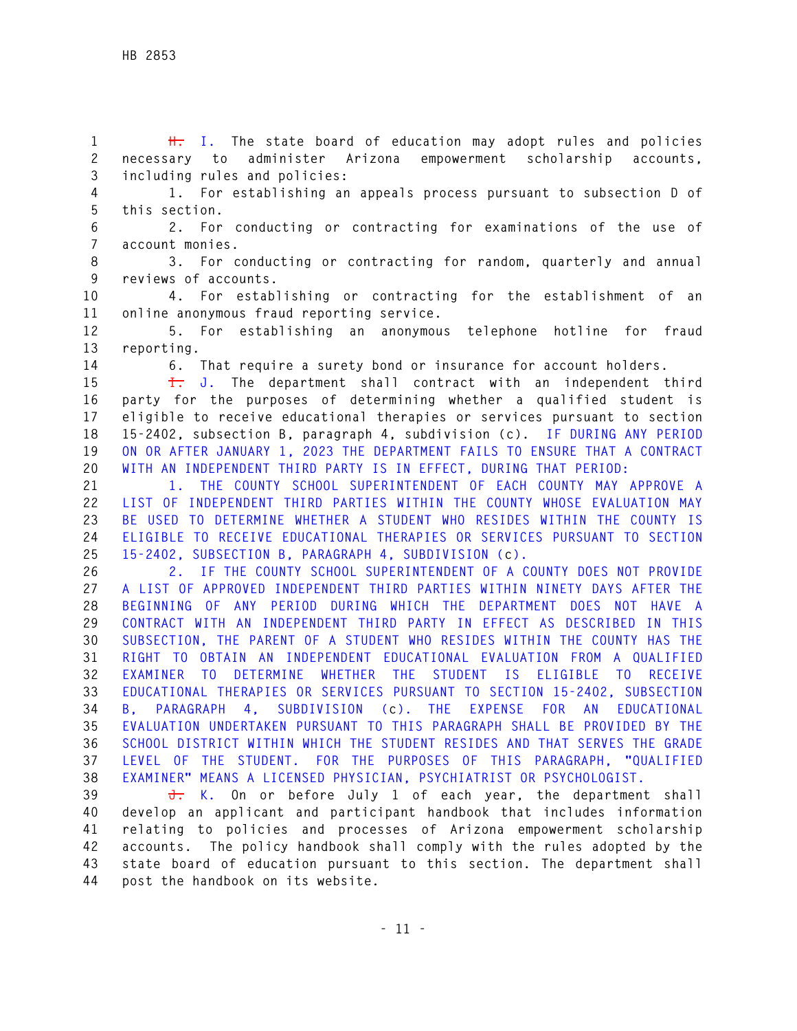**1 H. I. The state board of education may adopt rules and policies 2 necessary to administer Arizona empowerment scholarship accounts, 3 including rules and policies:** 

**4 1. For establishing an appeals process pursuant to subsection D of 5 this section.** 

**6 2. For conducting or contracting for examinations of the use of 7 account monies.** 

**8 3. For conducting or contracting for random, quarterly and annual 9 reviews of accounts.** 

**10 4. For establishing or contracting for the establishment of an 11 online anonymous fraud reporting service.** 

**12 5. For establishing an anonymous telephone hotline for fraud 13 reporting.** 

**14 6. That require a surety bond or insurance for account holders.** 

**15 I. J. The department shall contract with an independent third 16 party for the purposes of determining whether a qualified student is 17 eligible to receive educational therapies or services pursuant to section 18 15-2402, subsection B, paragraph 4, subdivision (c). IF DURING ANY PERIOD 19 ON OR AFTER JANUARY 1, 2023 THE DEPARTMENT FAILS TO ENSURE THAT A CONTRACT 20 WITH AN INDEPENDENT THIRD PARTY IS IN EFFECT, DURING THAT PERIOD:** 

**21 1. THE COUNTY SCHOOL SUPERINTENDENT OF EACH COUNTY MAY APPROVE A 22 LIST OF INDEPENDENT THIRD PARTIES WITHIN THE COUNTY WHOSE EVALUATION MAY 23 BE USED TO DETERMINE WHETHER A STUDENT WHO RESIDES WITHIN THE COUNTY IS 24 ELIGIBLE TO RECEIVE EDUCATIONAL THERAPIES OR SERVICES PURSUANT TO SECTION 25 15-2402, SUBSECTION B, PARAGRAPH 4, SUBDIVISION (c).** 

**26 2. IF THE COUNTY SCHOOL SUPERINTENDENT OF A COUNTY DOES NOT PROVIDE 27 A LIST OF APPROVED INDEPENDENT THIRD PARTIES WITHIN NINETY DAYS AFTER THE 28 BEGINNING OF ANY PERIOD DURING WHICH THE DEPARTMENT DOES NOT HAVE A 29 CONTRACT WITH AN INDEPENDENT THIRD PARTY IN EFFECT AS DESCRIBED IN THIS 30 SUBSECTION, THE PARENT OF A STUDENT WHO RESIDES WITHIN THE COUNTY HAS THE 31 RIGHT TO OBTAIN AN INDEPENDENT EDUCATIONAL EVALUATION FROM A QUALIFIED 32 EXAMINER TO DETERMINE WHETHER THE STUDENT IS ELIGIBLE TO RECEIVE 33 EDUCATIONAL THERAPIES OR SERVICES PURSUANT TO SECTION 15-2402, SUBSECTION 34 B, PARAGRAPH 4, SUBDIVISION (c). THE EXPENSE FOR AN EDUCATIONAL 35 EVALUATION UNDERTAKEN PURSUANT TO THIS PARAGRAPH SHALL BE PROVIDED BY THE 36 SCHOOL DISTRICT WITHIN WHICH THE STUDENT RESIDES AND THAT SERVES THE GRADE 37 LEVEL OF THE STUDENT. FOR THE PURPOSES OF THIS PARAGRAPH, "QUALIFIED 38 EXAMINER" MEANS A LICENSED PHYSICIAN, PSYCHIATRIST OR PSYCHOLOGIST.** 

**39 J. K. On or before July 1 of each year, the department shall 40 develop an applicant and participant handbook that includes information 41 relating to policies and processes of Arizona empowerment scholarship 42 accounts. The policy handbook shall comply with the rules adopted by the 43 state board of education pursuant to this section. The department shall 44 post the handbook on its website.**